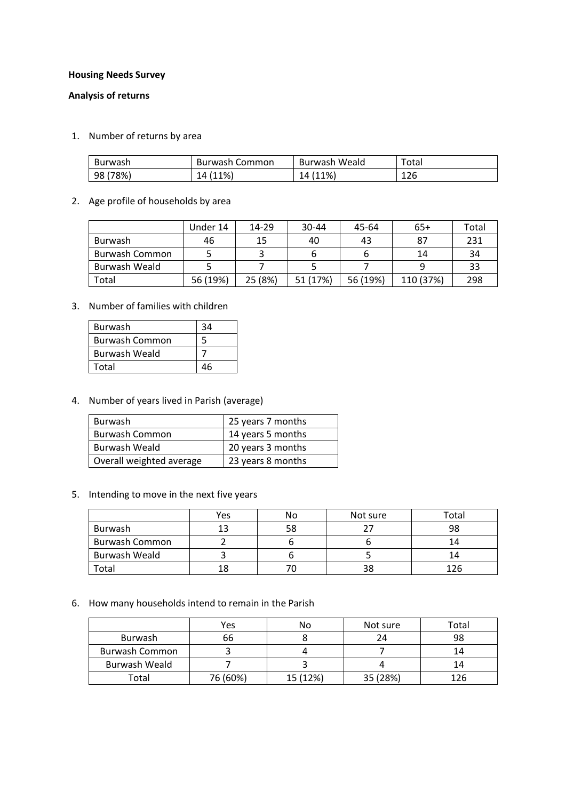## **Housing Needs Survey**

## **Analysis of returns**

1. Number of returns by area

| Burwash  | Burwash Common | Burwash Weald | Total |
|----------|----------------|---------------|-------|
| 98 (78%) | 14 (11%)       | 14 (11%)      | 126   |

## 2. Age profile of households by area

|                | Under 14 | 14-29   | $30 - 44$ | 45-64    | $65+$     | Total |
|----------------|----------|---------|-----------|----------|-----------|-------|
| Burwash        | 46       | 15      | 40        | 43       | 87        | 231   |
| Burwash Common |          |         |           |          | 14        | 34    |
| Burwash Weald  |          |         |           |          |           | 33    |
| Total          | 56 (19%) | 25 (8%) | 51 (17%)  | 56 (19%) | 110 (37%) | 298   |

3. Number of families with children

| <b>Burwash</b> | ว⊿ |
|----------------|----|
| Burwash Common |    |
| Burwash Weald  |    |
| Total          |    |

4. Number of years lived in Parish (average)

| <b>Burwash</b>           | 25 years 7 months |
|--------------------------|-------------------|
| <b>Burwash Common</b>    | 14 years 5 months |
| Burwash Weald            | 20 years 3 months |
| Overall weighted average | 23 years 8 months |

5. Intending to move in the next five years

|                       | Yes | N٥ | Not sure | <sup>r</sup> otal |
|-----------------------|-----|----|----------|-------------------|
| Burwash               |     | 58 |          | 98                |
| <b>Burwash Common</b> |     |    |          |                   |
| Burwash Weald         |     |    |          |                   |
| Гоtal                 | 18  |    | วด       |                   |

# 6. How many households intend to remain in the Parish

|                | Yes      | No       | Not sure | Total |
|----------------|----------|----------|----------|-------|
| Burwash        | 66       |          | 24       | 98    |
| Burwash Common |          |          |          | 14    |
| Burwash Weald  |          |          |          | 14    |
| Total          | 76 (60%) | 15 (12%) | 35 (28%) | 126   |